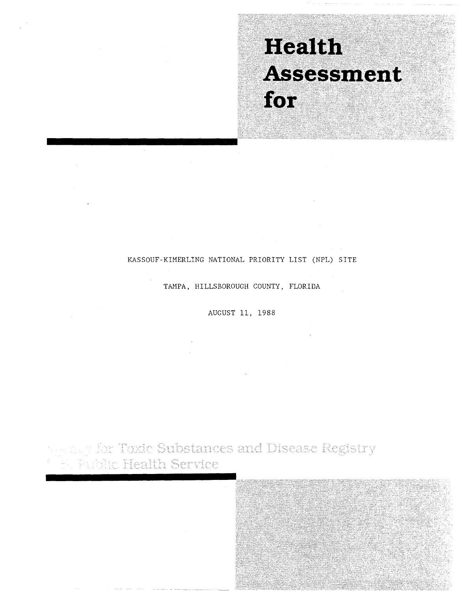# Health Assessment for

# KASSOUF-KIMERLING NATIONAL PRIORITY LIST (NPL) SITE

TAMPA, HILLSBOROUGH COUNTY, FLORIDA

AUGUST 11, 1988

*Separator Toxic Substances and Disease Registry*<br>Folk Public Health Service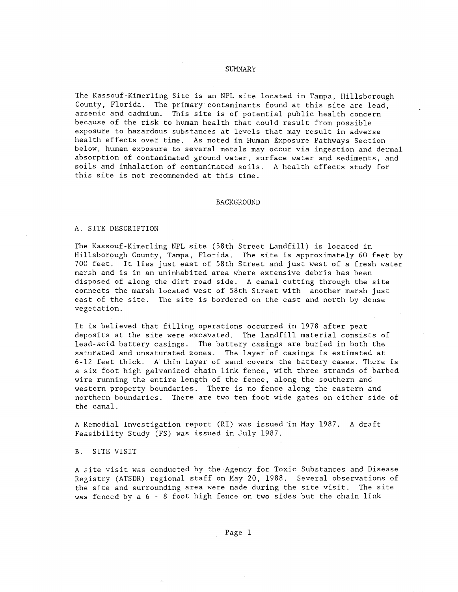### SUMMARY

The Kassouf-Kimerling Site is an NPL site located in Tampa, Hillsborough County, Florida. The primary contaminants found at this site are lead, arsenic and cadmium. This site is of potential public health concern because of the risk to human health that could result from possible exposure to hazardous substances at levels that may result in adverse health effects over time. As noted in Human Exposure Pathways Section below, human exposure to several metals may occur via ingestion and dermal absorption of contaminated ground water, surface water and sediments, and soils and inhalation of contaminated soils. A health effects study for this site is not recommended at this time.

### BACKGROUND

### A. SITE DESCRIPTION

The Kassouf-Kimerling NPL site (58th Street Landfill) is located in Hillsborough County, Tampa, Florida. The site is approximately 60 feet by 700 feet. It lies just east of 58th Street and just west of a fresh water marsh and is in an uninhabited area where extensive debris has been disposed of along the dirt road side. A canal cutting through the site connects the marsh located west of 58th Street with another marsh just east of the site. The site is bordered on the east and north by dense vegetation.

It is believed that filling operations occurred in 1978 after peat deposits at the site were excavated. The landfill material consists of lead-acid battery casings. The battery casings are buried in both the saturated and unsaturated zones. The layer of casings is estimated at 6-12 feet thick. A thin layer of sand covers the battery cases. There is a six foot high galvanized chain link fence, with three strands of barbed wire running the entire length of the fence, along the southern and western property boundaries. There is no fence along the eastern and northern boundaries. There are two ten foot wide gates on either side of the canal.

A Remedial Investigation report (RI) was issued in May 1987. A draft Feasibility Study (FS) was issued in July 1987.

### B. SITE VISIT

A site visit was conducted by the Agency for Toxic Substances and Disease Registry (ATSDR) regional staff on May 20, 1988. Several observations of the site and surrounding area were made during the site visit. The site was fenced by  $a \ 6 - 8$  foot high fence on two sides but the chain link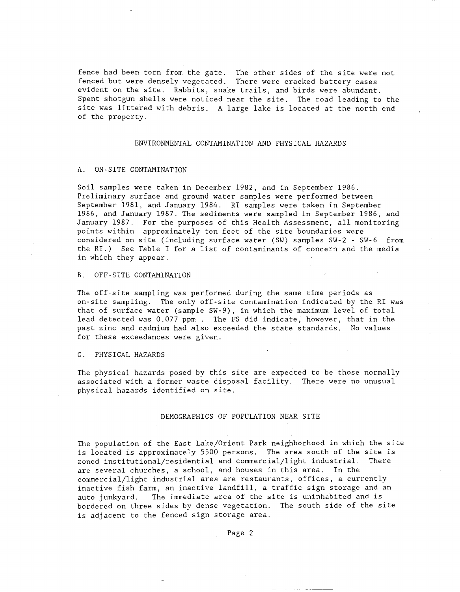fence had been torn from the gate. The other sides of the site were not fenced but were densely vegetated. There were cracked battery cases evident on the site. Rabbits, snake trails, and birds were abundant. Spent shotgun shells were noticed near the site. The road leading to the site was littered with debris. A large lake is located at the north end of the property.

### ENVIRONMENTAL CONTAMINATION AND PHYSICAL HAZARDS

### A. ON-SITE CONTAMINATION

Soil samples were taken in December 1982, and in September 1986. Preliminary surface and ground water samples were performed between September 1981, and January 1984. RI samples were taken in September 1986, and January 1987. The sediments were sampled in September 1986, and January 1987. For the purposes of this Health Assessment, all monitoring points within approximately ten feet of the site boundaries were considered on site (including surface water (SW) samples SW-2 - SW-6 from the RI.) See Table I for a list of contaminants of concern and the media in which they appear.

### B. OFF-SITE CONTAMINATION

The off-site sampling was performed during the same time periods as on-site sampling. The only off-site contamination indicated by the RI was that of surface water (sample SW-9), in which the maximum level of total lead detected was 0.077 ppm. The FS did indicate, however, that in the past zinc and cadmium had also exceeded the state standards. No values for these exceedances were given.

### C. PHYSICAL HAZARDS

The physical hazards posed by this site are expected to be those normally associated with a former waste disposal facility. There were no unusual physical hazards identified on site.

### DEMOGRAPHICS OF POPULATION NEAR SITE

The population of the East Lake/Orient Park neighborhood in which the site is located is approximately 5500 persons. The area south of the site is zoned institutional/residential and commercial/light industrial. There are several churches, a school, and houses in this area. In the commercial/light industrial area are restaurants, offices, a currently inactive fish farm, an inactive landfill, a traffic sign storage and an auto junkyard. The immediate area of the site is uninhabited and is bordered on three sides by dense vegetation. The south side of the site is adjacent to the fenced sign storage area.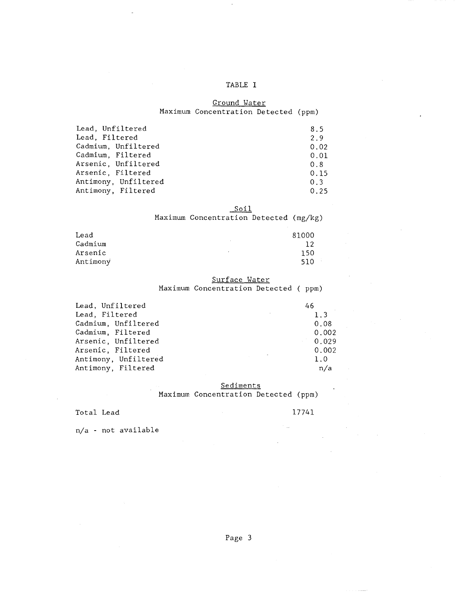# TABLE I

# Ground Water Maximum Concentration Detected (ppm)

| Lead, Unfiltered     | 8.5  |
|----------------------|------|
| Lead, Filtered       | 2.9  |
| Cadmium, Unfiltered  | 0.02 |
| Cadmium, Filtered    | 0.01 |
| Arsenic, Unfiltered  | 0.8  |
| Arsenic, Filtered    | 0.15 |
| Antimony, Unfiltered | 0.3  |
| Antimony, Filtered   | 0.25 |
|                      |      |

# Soil

Maximum Concentration Detected (mg/kg)

| Lead     | 81000          |
|----------|----------------|
| Cadmium  | 12             |
| Arsenic  | 150<br>$\cdot$ |
| Antimony | 510.           |

# Surface Water

Maximum Concentration Detected ( ppm)

| Lead, Unfiltered     | 46    |
|----------------------|-------|
| Lead, Filtered       | 1.3   |
| Cadmium, Unfiltered  | 0.08  |
| Cadmium, Filtered    | 0.002 |
| Arsenic, Unfiltered  | 0.029 |
| Arsenic, Filtered    | 0.002 |
| Antimony, Unfiltered | 1.0   |
| Antimony, Filtered   | n/a   |

**Sediments** Maximum Concentration Detected (ppm)

# Total Lead 17741

n/a - not available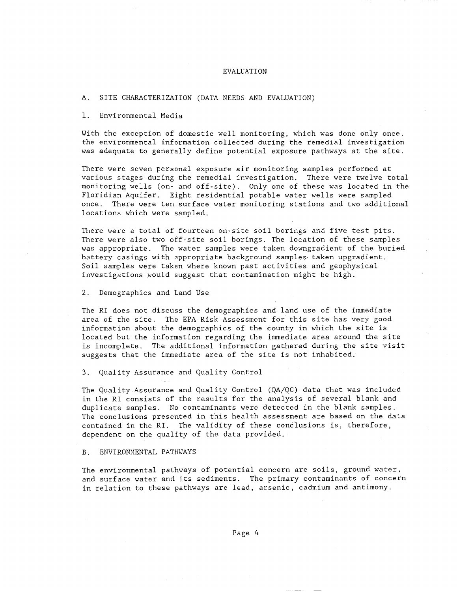## EVALUATION

#### A. SITE CHARACTERIZATION (DATA NEEDS AND EVALUATION)

### 1. Environmental Media

With the exception of domestic well monitoring, which was done only once, the environmental information collected during the remedial investigation was adequate to generally define potential exposure pathways at the site.

There were seven personal exposure air monitoring samples performed at various stages during the remedial investigation. There were twelve total monitoring wells (on- and off-site). Only one of these was located in the Floridian Aquifer. Eight residential potable water wells were sampled once. There were ten surface water monitoring stations and two additional locations which were sampled.

There were a total of fourteen on-site soil borings and five test pits. There were also two off-site soil borings. The location of these samples was appropriate. The water samples were taken downgradient of the buried battery casings with appropriate background samples taken upgradient. Soil samples were taken where known past activities and geophysical investigations would suggest that contamination might be high.

2. Demographics and Land Use

The RI does not discuss the demographics and land use of the immediate area of the site. The EPA Risk Assessment for this site has very good information about the demographics of the county in which the site is located but the information regarding the immediate area around the site is incomplete. The additional information gathered during the site visit suggests that the immediate area of the site is not inhabited.

3. Quality Assurance and Quality Control

The Quality.Assurance and Quality Control (QA/QC) data that was included in the RI consists of the results for the analysis of several blank and duplicate samples. No contaminants were detected in the blank samples. The conclusions presented in this health assessment are based on the data contained in the RI. The validity of these conclusions is, therefore, dependent on the quality of the data provided.

### B. ENVIRONMENTAL PATHWAYS

The environmental pathways of potential concern are soils, ground water, and surface water and its sediments. The primary contaminants of concern in relation to these pathways are lead, arsenic, cadmium and antimony.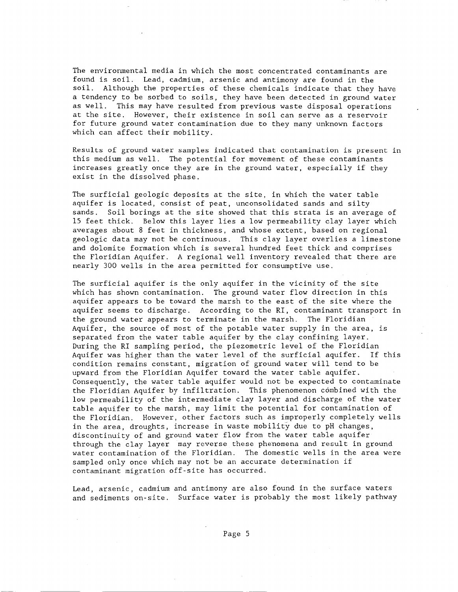The environmental media in which the most concentrated contaminants are found is soil. Lead, cadmium, arsenic and antimony are found in the soil. Although the properties of these chemicals indicate that they have a tendency to be sorbed to soils, they have been detected in ground water as well. This may have resulted from previous waste disposal operations at the site. However, their existence in soil can serve as a reservoir for future ground water contamination due to they many unknown factors which can affect their mobility.

Results of ground water samples indicated that contamination is present in this medium as well. The potential for movement of these contaminants increases greatly once they are in the ground water, especially if they exist in the dissolved phase.

The surficial geologic deposits at the site, in which the water table aquifer is located, consist of peat, unconsolidated sands and silty sands. Soil borings at the site showed that this strata is an average of 15 feet thick. Below this layer lies a low permeability clay layer which averages ebout 8 feet in thickness, and whose extent, based on regional geologic data may not be continuous. This clay layer overlies a limestone and dolomite formation which is several hundred feet thick and comprises the Floridian Aquifer. A regional well inventory revealed that there are nearly 300 wells in the area permitted for consumptive use.

The surficial aquifer is the only aquifer in the vicinity of the site which has shown contamination. The ground water flow direction in this aquifer appears to be toward the marsh to the east of the site where the aquifer seems to discharge. According to the RI, contaminant transport in the ground water appears to terminate in the marsh. The Floridian Aquifer, the source of most of the potable water supply in the area, is separated from the water table aquifer by the clay confining layer. During the RI sampling period, the piezometric level of the Floridian Aquifer was higher than the water level of the surficial aquifer. If this condition remains constant, migration of ground water will tend to be upward from the Floridian Aquifer toward the water table aquifer. Consequently, the water table aquifer would not be expected to contaminate the Floridian Aquifer by infiltration. This phenomenon combined with the low permeability of the intermediate clay layer and discharge of the water table aquifer to the marsh, may limit the potential for contamination of the Floridian. However, other factors such as improperly completely wells in the area, droughts, increase in waste mobility due to pH changes, discontinuity of and ground water flow from the water table aquifer through the clay layer may reverse these phenomena and result in ground water contamination of the Floridian. The domestic wells in the area were sampled only once which may not be an accurate determination if contaminant migration off-site has occurred.

Lead, arsenic, cadmium and antimony are also found in the surface waters and sediments on-site. Surface water is probably the most likely pathway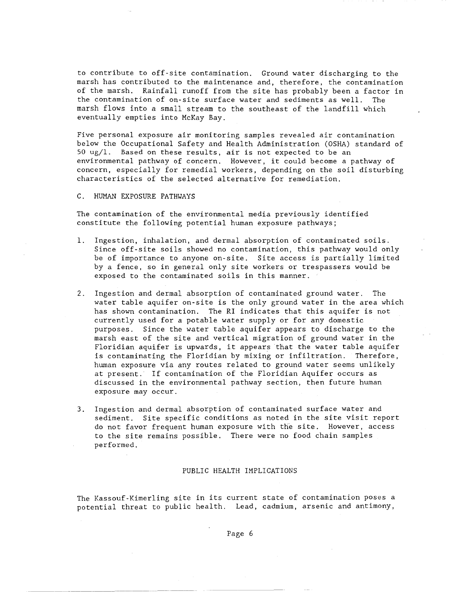to contribute to off-site contamination. Ground water discharging to the marsh has contributed to the maintenance and, therefore, the contamination of the marsh. Rainfall runoff from the site has probably been a factor in the contamination of on-site surface water and sediments as well. The marsh flows into a small stream to the southeast of the landfill which eventually empties into McKay Bay.

Five personal exposure air monitoring samples revealed air contamination below the Occupational Safety and Health Administration (OSHA) standard of  $50 \text{ ug}/1$ . Based on these results, air is not expected to be an environmental pathway of concern. However, it could become a pathway of concern, especially for remedial workers, depending on the soil disturbing characteristics of the selected alternative for remediation.

C. HUMAN EXPOSURE PATHWAYS

The contamination of the environmental media previously identified constitute the following potential human exposure pathways;

- 1. Ingestion, inhalation, and dermal absorption of contaminated soils. Since off-site soils showed no contamination, this pathway would only be of importance to anyone on-site. Site access is partially limited by a fence, so in general only site workers or trespassers would be exposed to the contaminated soils in this manner.
- 2. Ingestion and dermal absorption of contaminated ground water. The water table aquifer on-site is the only ground water in the area which has shown contamination. The RI indicates that this aquifer is not currently used for a potable water supply or for any domestic purposes. Since the water table aquifer appears to discharge to the marsh east of the site and vertical migration of ground water in the Floridian aquifer is upwards, it appears that the water table aquifer is contaminating the Floridian by mixing or infiltration. Therefore, human exposure via any routes related to ground water seems unlikely at present. If contamination of the Floridian Aquifer occurs as discussed in the environmental pathway section, then future human exposure may occur.
- 3. Ingestion and dermal absorption of contaminated surface water and sediment. Site specific conditions as noted in the site visit report do not favor frequent human exposure with the site. However, access to the site remains possible. There were no food chain samples performed.

### PUBLIC HEALTH IMPLICATIONS

The Kassouf-Kimerling site in its current state of contamination poses a potential threat to public health. Lead, cadmium, arsenic and antimony,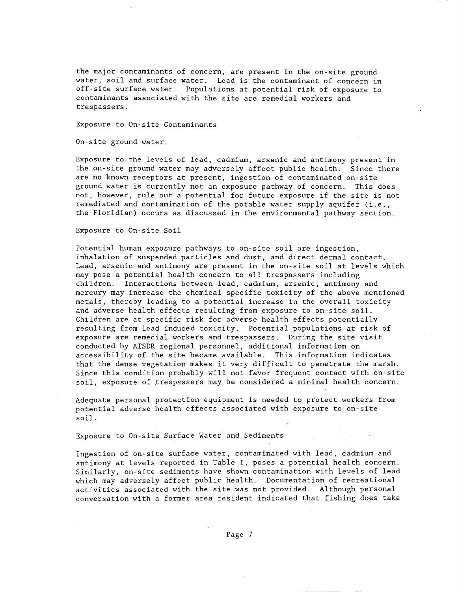the major contaminants of concern, are present in the on-site ground water, soil and surface water. Lead is the contaminant of concern in off-site surface water. Populations at potential risk of exposure to contaminants associated with the site are remedial workers and trespassers.

Exposure to On-site Contaminants

On-site ground water.

Exposure to the levels of lead, cadmium, arsenic and antimony present in the on-site ground water may adversely affect public health. Since there are no known receptors at present, ingestion of contaminated on-site ground water is currently not an exposure pathway of concern. This does not, however, rule out a potential for future exposure if the site is not remediated and contamination of the potable water supply aquifer (i.e., the Floridian) occurs as discussed in the environmental pathway section.

Exposure to On-site Soil

Potential human exposure pathways to on-site soil are ingestion, inhalation of suspended particles and dust, and direct dermal contact. Lead, arsenic and antimony are present in the on-site soil at levels which may pose a potential health concern to all trespassers including children. Interactions between lead, cadmium, arsenic, antimony and mercury may increase the chemical specific toxicity of the above mentioned metals, thereby leading to a potential increase in the overall toxicity and adverse health effects resulting from exposure to on-site soil. Children are at specific risk for adverse health effects potentially resulting from lead induced toxicity. Potential populations at risk of exposure are remedial workers and trespassers. During the site visit conducted by ATSDR regional personnel, additional information on accessibility of the site became available. This information indicates that the dense vegetation makes it very difficult to penetrate the marsh. Since this condition probably will not favor frequent contact with on-site soil, exposure of trespassers may be considered a minimal health concern.

Adequate personal protection equipment is needed to protect workers from potential adverse health effects associated with exposure to on-site soil.

Exposure to On-site Surface Water and Sediments

Ingestion of on-site surface water, contaminated with lead, cadmium and antimony at levels reported in Table I, poses a potential health concern. Similarly, on-site sediments have shown contamination with levels of lead which may adversely affect public health. Documentation of recreational activities associated with the site was not provided. Although personal conversation with a former area resident indicated that fishing does take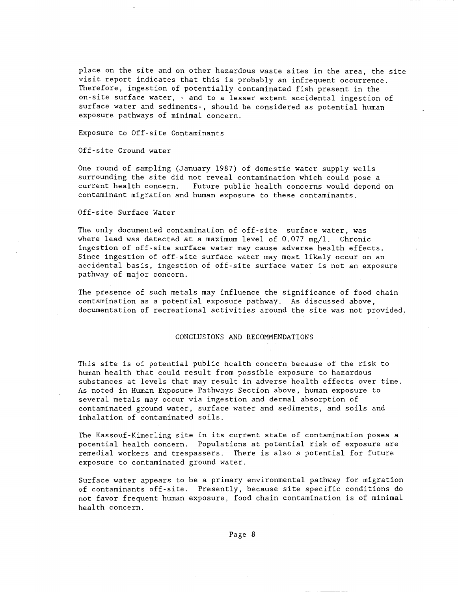place on the site and on other hazardous waste sites in the area, the site visit report indicates that this is probably an infrequent occurrence. Therefore, ingestion of potentially contaminated fish present in the on-site surface water, - and to a lesser extent accidental ingestion of surface water and sediments-, should be considered as potential human exposure pathways of minimal concern.

Exposure to Off-site Contaminants

Off-site Ground water

One round of sampling (January 1987) of domestic water supply wells surrounding the site did not reveal contamination which could pose a<br>current health concern. Future public health concerns would depend Future public health concerns would depend on contaminant migration and human exposure to these contaminants.

Off-site Surface Water

The only documented contamination of off-site surface water, was where lead was detected at a maximum level of  $0.077$  mg/l. Chronic ingestion of off-site surface water may cause adverse health effects. Since ingestion of off-site surface water may most likely occur on an accidental basis, ingestion of off-site surface water is not an exposure pathway of major concern.

The presence of such metals may influence the significance of food chain contamination as a potential exposure pathway. As discussed above, documentation of recreational activities around the site was not provided.

### CONCLUSIONS AND RECOMMENDATIONS

This site is of potential public health concern because of the risk to human health that could result from possible exposure to hazardous substances at levels that may result in adverse health effects over time. As noted in Human Exposure Pathways Section above, human exposure to several metals may occur via ingestion and dermal absorption of contaminated ground water, surface water and sediments, and soils and inhalation of contaminated soils.

The Kassouf-Kimerling site in its current state of contamination poses a potential health concern. Populations at potential risk of exposure are remedial workers and trespassers. There is also a potential for future exposure to contaminated ground water.

Surface water appears to be a primary environmental pathway for migration of contaminants off-site. Presently, because site specific conditions do not favor frequent human exposure, food chain contamination is of minimal health concern.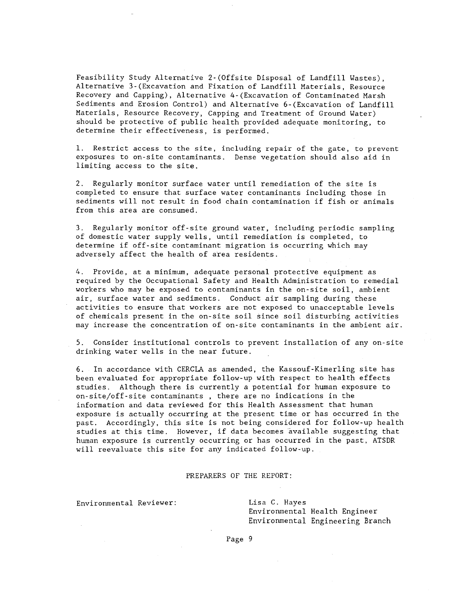Feasibility Study Alternative 2-(Offsite Disposal of Landfill Wastes), Alternative 3-(Excavation and Fixation of Landfill Materials, Resource Recovery and Capping), Alternative 4-(Excavation of Contaminated Marsh Sediments and Erosion Control) and Alternative 6-(Excavation of Landfill Materials, Resource Recovery, Capping and Treatment of Ground Water) should be protective of public health provided adequate monitoring, to determine their effectiveness, is performed.

1. Restrict access to the site, including repair of the gate, to prevent exposures to on-site contaminants. Dense vegetation should also aid in limiting access to the site.

2. Regularly monitor surface water until remediation of the site is completed to ensure that surface water contaminants including those in sediments will not result in food chain contamination if fish or animals from this area are consumed.

3. Regularly monitor off-site ground water, including periodic sampling of domestic water supply wells, until remediation is completed, to determine if off-site contaminant migration is occurring which may adversely affect the health of area residents.

4. Provide, at a minimum, adequate personal protective equipment as required by the Occupational Safety and Health Administration to remedial workers who may be exposed to contaminants in the on-site soil, ambient air, surface water and sediments. Conduct air sampling during these activities to ensure that workers are not exposed to unacceptable levels of chemicals present in the on-site soil since soil disturbing activities may increase the concentration of on-site contaminants in the ambient air.

5. Consider institutional controls to prevent installation of anyon-site drinking water wells in the near future.

6. In accordance with CERCLA as amended, the Kassouf-Kimerling site has been evaluated for appropriate follow-up with respect to health effects studies. Although there is currently a potential for human exposure to on-site/off-site contaminants , there are no indications in the information and data reviewed for this Health Assessment that human exposure is actually occurring at the present time or has occurred in the past. Accordingly, this site is not being considered for follow-up health studies at this time. However, if data becomes available suggesting that human exposure is currently occurring or has occurred in the past, ATSDR will reevaluate this site for any indicated follow-up.

### PREPARERS OF THE REPORT:

Environmental Reviewer:

Lisa C. Hayes Environmental Health Engineer Environmental Engineering Branch

Page 9